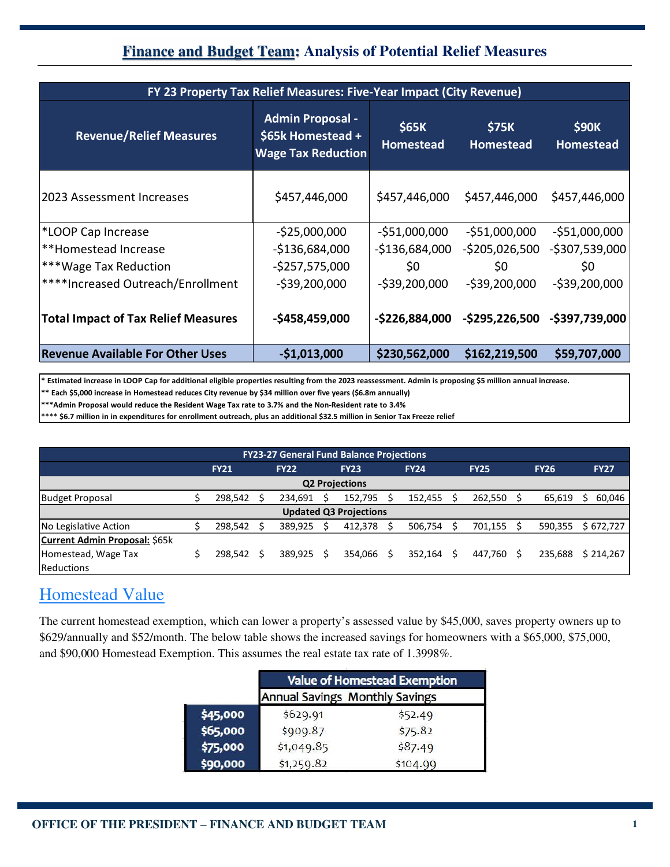## **Finance and Budget Team: Analysis of Potential Relief Measures**

| FY 23 Property Tax Relief Measures: Five-Year Impact (City Revenue) |                                                                           |                           |                                  |                                  |  |  |  |  |  |
|---------------------------------------------------------------------|---------------------------------------------------------------------------|---------------------------|----------------------------------|----------------------------------|--|--|--|--|--|
| <b>Revenue/Relief Measures</b>                                      | <b>Admin Proposal -</b><br>\$65k Homestead +<br><b>Wage Tax Reduction</b> | \$65K<br><b>Homestead</b> | <b>\$75K</b><br><b>Homestead</b> | <b>\$90K</b><br><b>Homestead</b> |  |  |  |  |  |
| 2023 Assessment Increases                                           | \$457,446,000                                                             | \$457,446,000             | \$457,446,000                    | \$457,446,000                    |  |  |  |  |  |
| *LOOP Cap Increase                                                  | $-525,000,000$                                                            | $-551,000,000$            | $-551,000,000$                   | $-551,000,000$                   |  |  |  |  |  |
| **Homestead Increase                                                | $-$136,684,000$                                                           | $-$136,684,000$           | $-$ \$205,026,500                | $-$ \$307,539,000                |  |  |  |  |  |
| ***Wage Tax Reduction                                               | $-5257,575,000$                                                           | \$0                       | \$0                              | \$0                              |  |  |  |  |  |
| <sup>****</sup> Increased Outreach/Enrollment                       | $-$ \$39,200,000                                                          | $-539,200,000$            | $-539,200,000$                   | $-539,200,000$                   |  |  |  |  |  |
| <b>Total Impact of Tax Relief Measures</b>                          | $-$458,459,000$                                                           | -\$226,884,000            |                                  | -\$295,226,500 -\$397,739,000    |  |  |  |  |  |
| <b>Revenue Available For Other Uses</b>                             | $-$1,013,000$                                                             | \$230,562,000             | \$162,219,500                    | \$59,707,000                     |  |  |  |  |  |

**\* Estimated increase in LOOP Cap for additional eligible properties resulting from the 2023 reassessment. Admin is proposing \$5 million annual increase.** 

**\*\* Each \$5,000 increase in Homestead reduces City revenue by \$34 million over five years (\$6.8m annually)**

**\*\*\*Admin Proposal would reduce the Resident Wage Tax rate to 3.7% and the Non-Resident rate to 3.4%**

**\*\*\*\* \$6.7 million in in expenditures for enrollment outreach, plus an additional \$32.5 million in Senior Tax Freeze relief**

| <b>FY23-27 General Fund Balance Projections</b> |  |             |  |             |  |             |  |             |  |             |  |             |             |
|-------------------------------------------------|--|-------------|--|-------------|--|-------------|--|-------------|--|-------------|--|-------------|-------------|
|                                                 |  | <b>FY21</b> |  | <b>FY22</b> |  | <b>FY23</b> |  | <b>FY24</b> |  | <b>FY25</b> |  | <b>FY26</b> | <b>FY27</b> |
| <b>Q2 Projections</b>                           |  |             |  |             |  |             |  |             |  |             |  |             |             |
| <b>Budget Proposal</b>                          |  | 298,542     |  | 234.691     |  | 152.795     |  | 152,455     |  | 262,550     |  | 65,619      | 60,046      |
| <b>Updated Q3 Projections</b>                   |  |             |  |             |  |             |  |             |  |             |  |             |             |
| No Legislative Action                           |  | 298.542     |  | 389.925     |  | 412.378     |  | 506,754     |  | 701,155     |  | 590,355     | \$672,727   |
| <b>Current Admin Proposal: \$65k</b>            |  |             |  |             |  |             |  |             |  |             |  |             |             |
| Homestead, Wage Tax                             |  | 298.542     |  | 389.925     |  | 354.066     |  | 352.164     |  | 447.760     |  | 235.688     | \$214.267   |
| Reductions                                      |  |             |  |             |  |             |  |             |  |             |  |             |             |

## Homestead Value

The current homestead exemption, which can lower a property's assessed value by \$45,000, saves property owners up to \$629/annually and \$52/month. The below table shows the increased savings for homeowners with a \$65,000, \$75,000, and \$90,000 Homestead Exemption. This assumes the real estate tax rate of 1.3998%.

|          | <b>Value of Homestead Exemption</b>   |          |  |  |  |  |  |
|----------|---------------------------------------|----------|--|--|--|--|--|
|          | <b>Annual Savings Monthly Savings</b> |          |  |  |  |  |  |
| \$45,000 | \$629.91                              | \$52.49  |  |  |  |  |  |
| \$65,000 | \$909.87                              | \$75.82  |  |  |  |  |  |
| \$75,000 | \$1,049.85                            | \$87.49  |  |  |  |  |  |
| \$90,000 | \$1,259.82                            | \$104.99 |  |  |  |  |  |